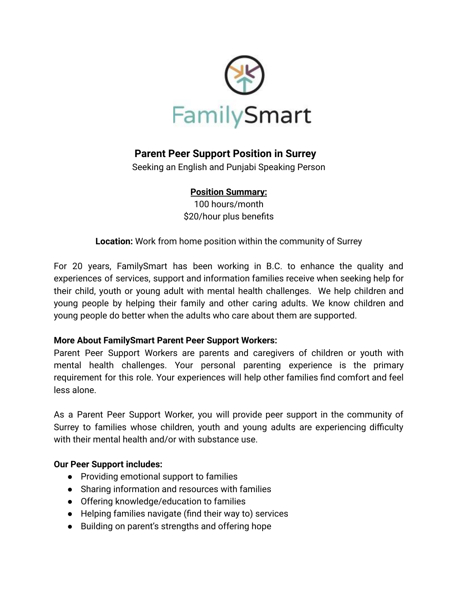

# **Parent Peer Support Position in Surrey**

Seeking an English and Punjabi Speaking Person

#### **Position Summary:**

100 hours/month \$20/hour plus benefits

**Location:** Work from home position within the community of Surrey

For 20 years, FamilySmart has been working in B.C. to enhance the quality and experiences of services, support and information families receive when seeking help for their child, youth or young adult with mental health challenges. We help children and young people by helping their family and other caring adults. We know children and young people do better when the adults who care about them are supported.

#### **More About FamilySmart Parent Peer Support Workers:**

Parent Peer Support Workers are parents and caregivers of children or youth with mental health challenges. Your personal parenting experience is the primary requirement for this role. Your experiences will help other families find comfort and feel less alone.

As a Parent Peer Support Worker, you will provide peer support in the community of Surrey to families whose children, youth and young adults are experiencing difficulty with their mental health and/or with substance use.

#### **Our Peer Support includes:**

- Providing emotional support to families
- Sharing information and resources with families
- Offering knowledge/education to families
- Helping families navigate (find their way to) services
- Building on parent's strengths and offering hope